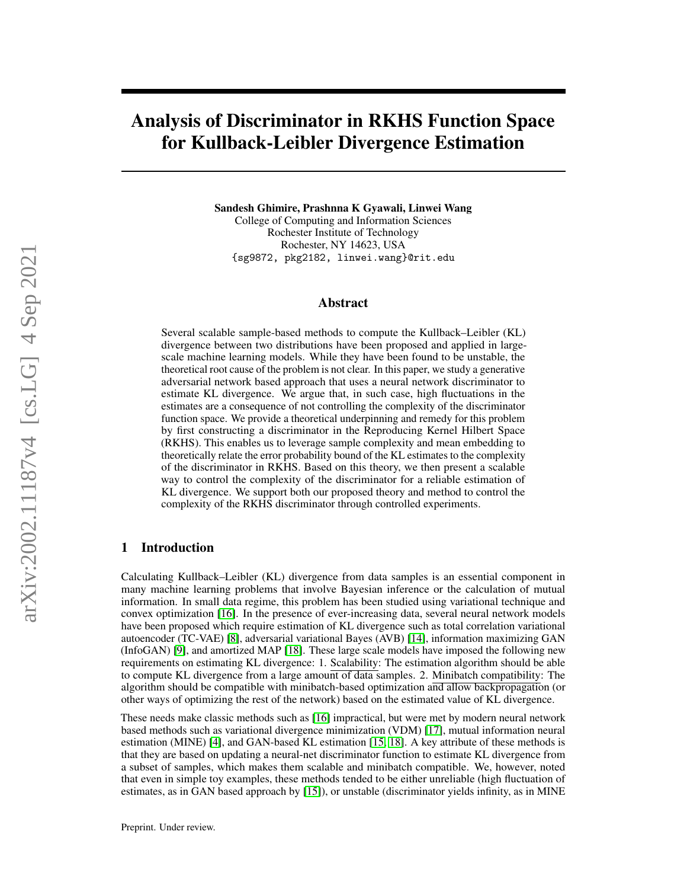# Analysis of Discriminator in RKHS Function Space for Kullback-Leibler Divergence Estimation

Sandesh Ghimire, Prashnna K Gyawali, Linwei Wang College of Computing and Information Sciences Rochester Institute of Technology Rochester, NY 14623, USA {sg9872, pkg2182, linwei.wang}@rit.edu

#### Abstract

Several scalable sample-based methods to compute the Kullback–Leibler (KL) divergence between two distributions have been proposed and applied in largescale machine learning models. While they have been found to be unstable, the theoretical root cause of the problem is not clear. In this paper, we study a generative adversarial network based approach that uses a neural network discriminator to estimate KL divergence. We argue that, in such case, high fluctuations in the estimates are a consequence of not controlling the complexity of the discriminator function space. We provide a theoretical underpinning and remedy for this problem by first constructing a discriminator in the Reproducing Kernel Hilbert Space (RKHS). This enables us to leverage sample complexity and mean embedding to theoretically relate the error probability bound of the KL estimates to the complexity of the discriminator in RKHS. Based on this theory, we then present a scalable way to control the complexity of the discriminator for a reliable estimation of KL divergence. We support both our proposed theory and method to control the complexity of the RKHS discriminator through controlled experiments.

#### 1 Introduction

Calculating Kullback–Leibler (KL) divergence from data samples is an essential component in many machine learning problems that involve Bayesian inference or the calculation of mutual information. In small data regime, this problem has been studied using variational technique and convex optimization [\[16\]](#page-9-0). In the presence of ever-increasing data, several neural network models have been proposed which require estimation of KL divergence such as total correlation variational autoencoder (TC-VAE) [\[8\]](#page-9-1), adversarial variational Bayes (AVB) [\[14\]](#page-9-2), information maximizing GAN (InfoGAN) [\[9\]](#page-9-3), and amortized MAP [\[18\]](#page-9-4). These large scale models have imposed the following new requirements on estimating KL divergence: 1. Scalability: The estimation algorithm should be able to compute KL divergence from a large amount of data samples. 2. Minibatch compatibility: The algorithm should be compatible with minibatch-based optimization and allow backpropagation (or other ways of optimizing the rest of the network) based on the estimated value of KL divergence.

These needs make classic methods such as [\[16\]](#page-9-0) impractical, but were met by modern neural network based methods such as variational divergence minimization (VDM) [\[17\]](#page-9-5), mutual information neural estimation (MINE) [\[4\]](#page-9-6), and GAN-based KL estimation [\[15,](#page-9-7) [18\]](#page-9-4). A key attribute of these methods is that they are based on updating a neural-net discriminator function to estimate KL divergence from a subset of samples, which makes them scalable and minibatch compatible. We, however, noted that even in simple toy examples, these methods tended to be either unreliable (high fluctuation of estimates, as in GAN based approach by [\[15\]](#page-9-7)), or unstable (discriminator yields infinity, as in MINE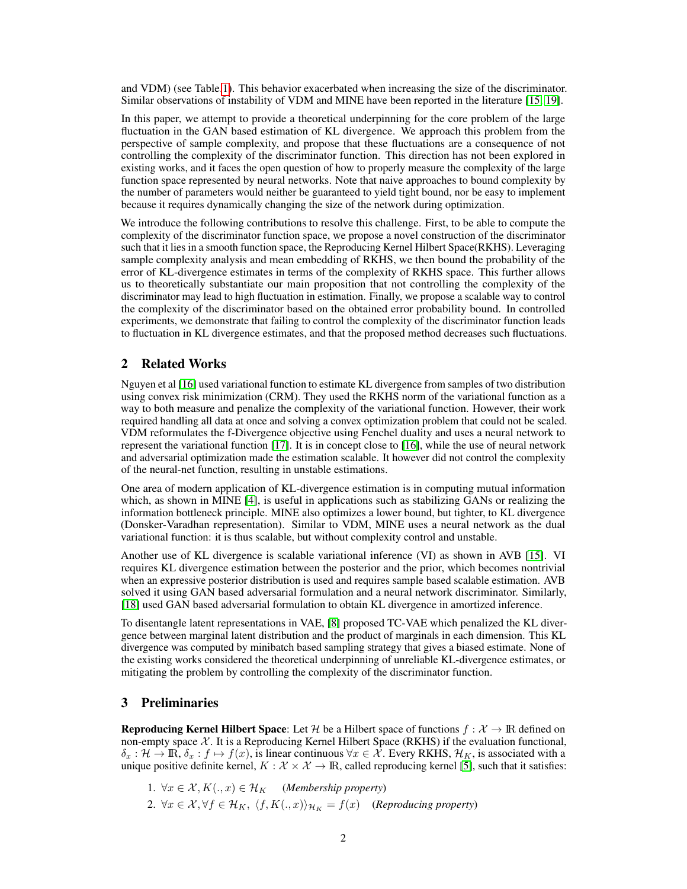and VDM) (see Table[.1\)](#page-8-0). This behavior exacerbated when increasing the size of the discriminator. Similar observations of instability of VDM and MINE have been reported in the literature [\[15,](#page-9-7) [19\]](#page-9-8).

In this paper, we attempt to provide a theoretical underpinning for the core problem of the large fluctuation in the GAN based estimation of KL divergence. We approach this problem from the perspective of sample complexity, and propose that these fluctuations are a consequence of not controlling the complexity of the discriminator function. This direction has not been explored in existing works, and it faces the open question of how to properly measure the complexity of the large function space represented by neural networks. Note that naive approaches to bound complexity by the number of parameters would neither be guaranteed to yield tight bound, nor be easy to implement because it requires dynamically changing the size of the network during optimization.

We introduce the following contributions to resolve this challenge. First, to be able to compute the complexity of the discriminator function space, we propose a novel construction of the discriminator such that it lies in a smooth function space, the Reproducing Kernel Hilbert Space(RKHS). Leveraging sample complexity analysis and mean embedding of RKHS, we then bound the probability of the error of KL-divergence estimates in terms of the complexity of RKHS space. This further allows us to theoretically substantiate our main proposition that not controlling the complexity of the discriminator may lead to high fluctuation in estimation. Finally, we propose a scalable way to control the complexity of the discriminator based on the obtained error probability bound. In controlled experiments, we demonstrate that failing to control the complexity of the discriminator function leads to fluctuation in KL divergence estimates, and that the proposed method decreases such fluctuations.

#### 2 Related Works

Nguyen et al [\[16\]](#page-9-0) used variational function to estimate KL divergence from samples of two distribution using convex risk minimization (CRM). They used the RKHS norm of the variational function as a way to both measure and penalize the complexity of the variational function. However, their work required handling all data at once and solving a convex optimization problem that could not be scaled. VDM reformulates the f-Divergence objective using Fenchel duality and uses a neural network to represent the variational function [\[17\]](#page-9-5). It is in concept close to [\[16\]](#page-9-0), while the use of neural network and adversarial optimization made the estimation scalable. It however did not control the complexity of the neural-net function, resulting in unstable estimations.

One area of modern application of KL-divergence estimation is in computing mutual information which, as shown in MINE [\[4\]](#page-9-6), is useful in applications such as stabilizing GANs or realizing the information bottleneck principle. MINE also optimizes a lower bound, but tighter, to KL divergence (Donsker-Varadhan representation). Similar to VDM, MINE uses a neural network as the dual variational function: it is thus scalable, but without complexity control and unstable.

Another use of KL divergence is scalable variational inference (VI) as shown in AVB [\[15\]](#page-9-7). VI requires KL divergence estimation between the posterior and the prior, which becomes nontrivial when an expressive posterior distribution is used and requires sample based scalable estimation. AVB solved it using GAN based adversarial formulation and a neural network discriminator. Similarly, [\[18\]](#page-9-4) used GAN based adversarial formulation to obtain KL divergence in amortized inference.

To disentangle latent representations in VAE, [\[8\]](#page-9-1) proposed TC-VAE which penalized the KL divergence between marginal latent distribution and the product of marginals in each dimension. This KL divergence was computed by minibatch based sampling strategy that gives a biased estimate. None of the existing works considered the theoretical underpinning of unreliable KL-divergence estimates, or mitigating the problem by controlling the complexity of the discriminator function.

# 3 Preliminaries

**Reproducing Kernel Hilbert Space**: Let H be a Hilbert space of functions  $f : \mathcal{X} \to \mathbb{R}$  defined on non-empty space  $X$ . It is a Reproducing Kernel Hilbert Space (RKHS) if the evaluation functional,  $\delta_x : \mathcal{H} \to \mathbb{R}, \delta_x : f \mapsto f(x)$ , is linear continuous  $\forall x \in \mathcal{X}$ . Every RKHS,  $\mathcal{H}_K$ , is associated with a unique positive definite kernel,  $K : \mathcal{X} \times \mathcal{X} \to \mathbb{R}$ , called reproducing kernel [\[5\]](#page-9-9), such that it satisfies:

\n- 1. 
$$
\forall x \in \mathcal{X}, K(., x) \in \mathcal{H}_K
$$
 (Membership property)
\n- 2.  $\forall x \in \mathcal{X}, \forall f \in \mathcal{H}_K$ ,  $\langle f, K(., x) \rangle_{\mathcal{H}_K} = f(x)$  (Reproducing property)
\n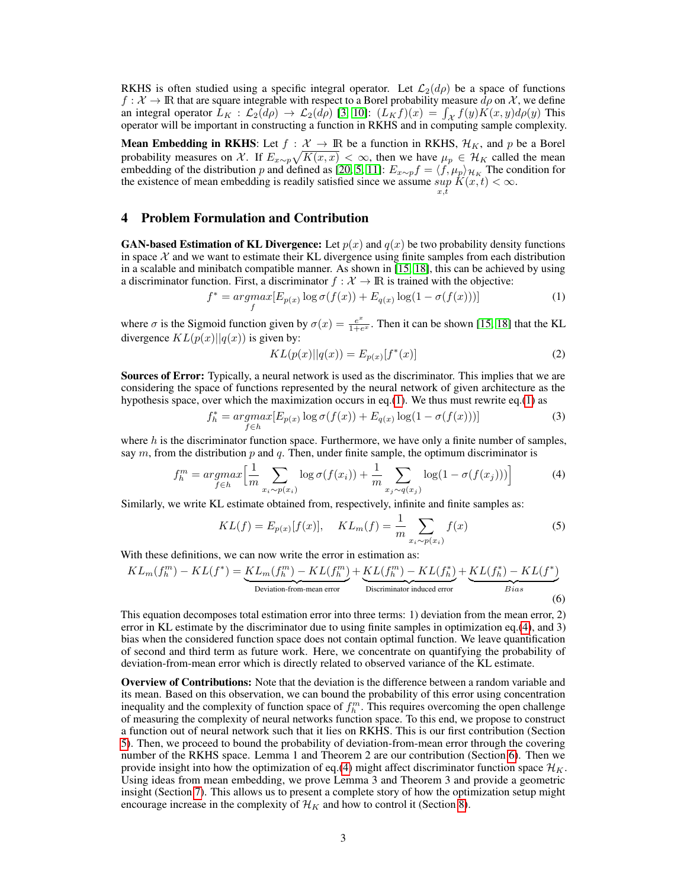RKHS is often studied using a specific integral operator. Let  $\mathcal{L}_2(d\rho)$  be a space of functions  $f : \mathcal{X} \to \mathbb{R}$  that are square integrable with respect to a Borel probability measure  $d\rho$  on  $\mathcal{X}$ , we define an integral operator  $\bar{L}_K : \mathcal{L}_2(d\rho) \to \mathcal{L}_2(d\rho)$  [\[3,](#page-9-10) [10\]](#page-9-11):  $(L_K f)(x) = \int_{\mathcal{X}} f(y)K(x, y)d\rho(y)$  This operator will be important in constructing a function in RKHS and in computing sample complexity.

**Mean Embedding in RKHS:** Let  $f : \mathcal{X} \to \mathbb{R}$  be a function in RKHS,  $\mathcal{H}_K$ , and p be a Borel probability measures on X. If  $E_{x \sim p} \sqrt{K(x,x)} < \infty$ , then we have  $\mu_p \in \mathcal{H}_K$  called the mean embedding of the distribution p and defined as [\[20,](#page-9-12) [5,](#page-9-9) [11\]](#page-9-13):  $E_{x\sim p}f = \langle f, \mu_p \rangle_{\mathcal{H}_K}$  The condition for the existence of mean embedding is readily satisfied since we assume  $\sup_{x,t} K(x,t) < \infty$ .

#### 4 Problem Formulation and Contribution

**GAN-based Estimation of KL Divergence:** Let  $p(x)$  and  $q(x)$  be two probability density functions in space  $\chi$  and we want to estimate their KL divergence using finite samples from each distribution in a scalable and minibatch compatible manner. As shown in [\[15,](#page-9-7) [18\]](#page-9-4), this can be achieved by using a discriminator function. First, a discriminator  $f : \mathcal{X} \to \mathbb{R}$  is trained with the objective:

$$
f^* = \underset{f}{\operatorname{argmax}} [E_{p(x)} \log \sigma(f(x)) + E_{q(x)} \log(1 - \sigma(f(x)))] \tag{1}
$$

where  $\sigma$  is the Sigmoid function given by  $\sigma(x) = \frac{e^x}{1+e^x}$  $\frac{e^{2}}{1+e^{x}}$ . Then it can be shown [\[15,](#page-9-7) [18\]](#page-9-4) that the KL divergence  $KL(p(x)||q(x))$  is given by:

<span id="page-2-1"></span><span id="page-2-0"></span>
$$
KL(p(x)||q(x)) = E_{p(x)}[f^*(x)]
$$
\n(2)

Sources of Error: Typically, a neural network is used as the discriminator. This implies that we are considering the space of functions represented by the neural network of given architecture as the hypothesis space, over which the maximization occurs in eq.[\(1\)](#page-2-0). We thus must rewrite eq.(1) as

$$
f_h^* = \underset{f \in h}{\operatorname{argmax}} [E_{p(x)} \log \sigma(f(x)) + E_{q(x)} \log(1 - \sigma(f(x)))] \tag{3}
$$

where  $h$  is the discriminator function space. Furthermore, we have only a finite number of samples, say  $m$ , from the distribution  $p$  and  $q$ . Then, under finite sample, the optimum discriminator is

$$
f_h^m = \underset{f \in h}{argmax} \Big[ \frac{1}{m} \sum_{x_i \sim p(x_i)} \log \sigma(f(x_i)) + \frac{1}{m} \sum_{x_j \sim q(x_j)} \log(1 - \sigma(f(x_j))) \Big] \tag{4}
$$

Similarly, we write KL estimate obtained from, respectively, infinite and finite samples as:

<span id="page-2-2"></span>
$$
KL(f) = E_{p(x)}[f(x)], \quad KL_m(f) = \frac{1}{m} \sum_{x_i \sim p(x_i)} f(x)
$$
 (5)

With these definitions, we can now write the error in estimation as:

$$
KL_m(f_h^m) - KL(f^*) = \underbrace{KL_m(f_h^m) - KL(f_h^m)}_{\text{Deviation-from-mean error}} + \underbrace{KL(f_h^m) - KL(f_h^*)}_{\text{Discriminator induced error}} + \underbrace{KL(f_h^*) - KL(f^*)}_{\text{Bias}}
$$
(6)

This equation decomposes total estimation error into three terms: 1) deviation from the mean error, 2) error in KL estimate by the discriminator due to using finite samples in optimization eq.[\(4\)](#page-2-1), and 3) bias when the considered function space does not contain optimal function. We leave quantification of second and third term as future work. Here, we concentrate on quantifying the probability of deviation-from-mean error which is directly related to observed variance of the KL estimate.

Overview of Contributions: Note that the deviation is the difference between a random variable and its mean. Based on this observation, we can bound the probability of this error using concentration inequality and the complexity of function space of  $f_h^m$ . This requires overcoming the open challenge of measuring the complexity of neural networks function space. To this end, we propose to construct a function out of neural network such that it lies on RKHS. This is our first contribution (Section [5\)](#page-3-0). Then, we proceed to bound the probability of deviation-from-mean error through the covering number of the RKHS space. Lemma 1 and Theorem 2 are our contribution (Section [6\)](#page-3-1). Then we provide insight into how the optimization of eq.[\(4\)](#page-2-1) might affect discriminator function space  $\mathcal{H}_K$ . Using ideas from mean embedding, we prove Lemma 3 and Theorem 3 and provide a geometric insight (Section [7\)](#page-4-0). This allows us to present a complete story of how the optimization setup might encourage increase in the complexity of  $\mathcal{H}_K$  and how to control it (Section [8\)](#page-5-0).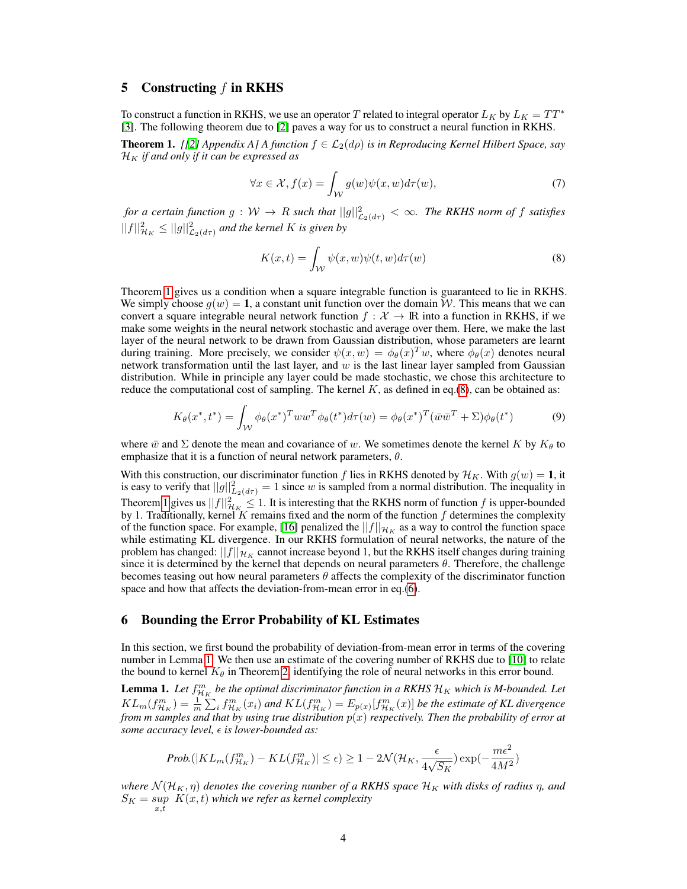# <span id="page-3-0"></span>5 Constructing  $f$  in RKHS

To construct a function in RKHS, we use an operator T related to integral operator  $L_K$  by  $L_K = TT^*$ [\[3\]](#page-9-10). The following theorem due to [\[2\]](#page-8-1) paves a way for us to construct a neural function in RKHS.

<span id="page-3-2"></span>**Theorem 1.** *[[\[2\]](#page-8-1)* Appendix A] A function  $f \in \mathcal{L}_2(d\rho)$  is in Reproducing Kernel Hilbert Space, say  $\mathcal{H}_K$  *if and only if it can be expressed as* 

$$
\forall x \in \mathcal{X}, f(x) = \int_{\mathcal{W}} g(w)\psi(x, w)d\tau(w), \tag{7}
$$

*for a certain function*  $g:W\to R$  *such that*  $||g||^2_{\mathcal{L}_2(d\tau)}<\infty$ *. The RKHS norm of f satisfies*  $||f||_{\mathcal{H}_K}^2 \leq ||g||_{\mathcal{L}_2(d\tau)}^2$  and the kernel  $K$  is given by

<span id="page-3-3"></span>
$$
K(x,t) = \int_{\mathcal{W}} \psi(x,w)\psi(t,w)d\tau(w)
$$
\n(8)

Theorem [1](#page-3-2) gives us a condition when a square integrable function is guaranteed to lie in RKHS. We simply choose  $q(w) = 1$ , a constant unit function over the domain W. This means that we can convert a square integrable neural network function  $f : \mathcal{X} \to \mathbb{R}$  into a function in RKHS, if we make some weights in the neural network stochastic and average over them. Here, we make the last layer of the neural network to be drawn from Gaussian distribution, whose parameters are learnt during training. More precisely, we consider  $\psi(x,w) = \phi_\theta(x)^T w$ , where  $\phi_\theta(x)$  denotes neural network transformation until the last layer, and  $w$  is the last linear layer sampled from Gaussian distribution. While in principle any layer could be made stochastic, we chose this architecture to reduce the computational cost of sampling. The kernel  $K$ , as defined in eq.[\(8\)](#page-3-3), can be obtained as:

$$
K_{\theta}(x^*,t^*) = \int_{\mathcal{W}} \phi_{\theta}(x^*)^T w w^T \phi_{\theta}(t^*) d\tau(w) = \phi_{\theta}(x^*)^T (\bar{w}\bar{w}^T + \Sigma) \phi_{\theta}(t^*)
$$
(9)

where  $\bar{w}$  and  $\Sigma$  denote the mean and covariance of w. We sometimes denote the kernel K by  $K_{\theta}$  to emphasize that it is a function of neural network parameters,  $\theta$ .

With this construction, our discriminator function f lies in RKHS denoted by  $\mathcal{H}_K$ . With  $g(w) = 1$ , it is easy to verify that  $||g||^2_{L_2(d\tau)} = 1$  since w is sampled from a normal distribution. The inequality in Theorem [1](#page-3-2) gives us  $||f||^2_{\mathcal{H}_K} \leq 1$ . It is interesting that the RKHS norm of function f is upper-bounded by 1. Traditionally, kernel K remains fixed and the norm of the function  $f$  determines the complexity of the function space. For example, [\[16\]](#page-9-0) penalized the  $||f||_{\mathcal{H}_K}$  as a way to control the function space while estimating KL divergence. In our RKHS formulation of neural networks, the nature of the problem has changed:  $||f||_{\mathcal{H}_K}$  cannot increase beyond 1, but the RKHS itself changes during training since it is determined by the kernel that depends on neural parameters  $\theta$ . Therefore, the challenge becomes teasing out how neural parameters  $\theta$  affects the complexity of the discriminator function space and how that affects the deviation-from-mean error in eq.[\(6\)](#page-2-2).

#### <span id="page-3-1"></span>6 Bounding the Error Probability of KL Estimates

In this section, we first bound the probability of deviation-from-mean error in terms of the covering number in Lemma [1.](#page-3-4) We then use an estimate of the covering number of RKHS due to [\[10\]](#page-9-11) to relate the bound to kernel  $K_{\theta}$  in Theorem [2,](#page-4-1) identifying the role of neural networks in this error bound.

<span id="page-3-4"></span>**Lemma 1.** Let  $f_{\mathcal{H}_K}^m$  be the optimal discriminator function in a RKHS  $\mathcal{H}_K$  which is M-bounded. Let  $KL_m(f_{\mathcal{H}_K}^m) = \frac{1}{m} \sum_i f_{\mathcal{H}_K}^m(x_i)$  and  $KL(f_{\mathcal{H}_K}^m) = E_{p(x)}[f_{\mathcal{H}_K}^m(x)]$  be the estimate of KL divergence *from m samples and that by using true distribution* p(x) *respectively. Then the probability of error at some accuracy level, is lower-bounded as:*

$$
Prob.(|KL_m(f_{\mathcal{H}_K}^m) - KL(f_{\mathcal{H}_K}^m)| \le \epsilon) \ge 1 - 2\mathcal{N}(\mathcal{H}_K, \frac{\epsilon}{4\sqrt{S_K}}) \exp(-\frac{m\epsilon^2}{4M^2})
$$

*where*  $\mathcal{N}(\mathcal{H}_K, \eta)$  *denotes the covering number of a RKHS space*  $\mathcal{H}_K$  *with disks of radius*  $\eta$ *, and*  $S_K = \sup_{x,t} \ K(x,t)$  which we refer as kernel complexity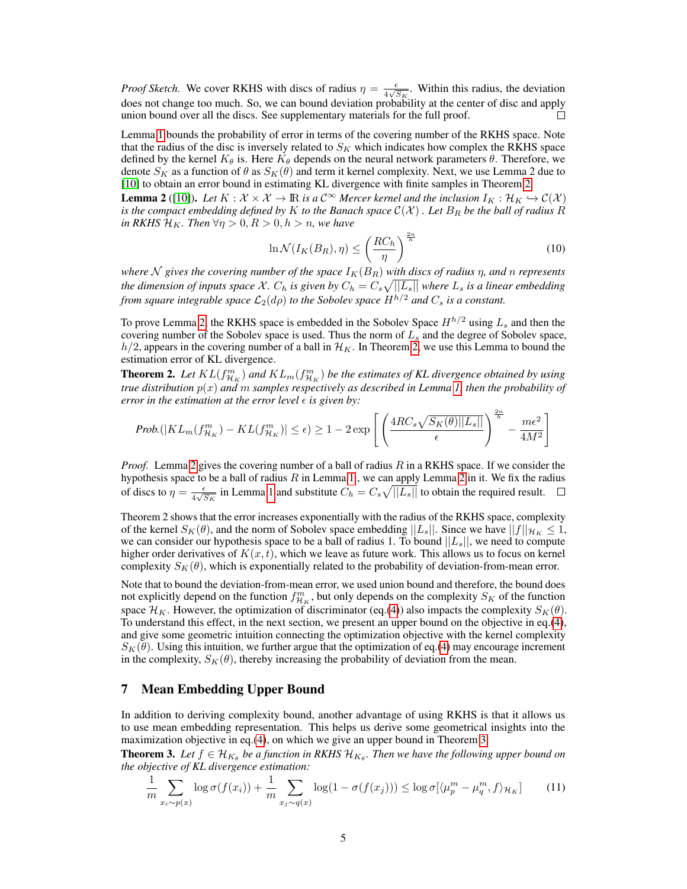*Proof Sketch.* We cover RKHS with discs of radius  $\eta = \frac{\epsilon}{4\sqrt{3}}$  $\frac{\epsilon}{4\sqrt{S_K}}$ . Within this radius, the deviation does not change too much. So, we can bound deviation probability at the center of disc and apply union bound over all the discs. See supplementary materials for the full proof.

Lemma [1](#page-3-4) bounds the probability of error in terms of the covering number of the RKHS space. Note that the radius of the disc is inversely related to  $S_K$  which indicates how complex the RKHS space defined by the kernel  $K_{\theta}$  is. Here  $K_{\theta}$  depends on the neural network parameters  $\theta$ . Therefore, we denote  $S_K$  as a function of  $\theta$  as  $S_K(\theta)$  and term it kernel complexity. Next, we use Lemma 2 due to [\[10\]](#page-9-11) to obtain an error bound in estimating KL divergence with finite samples in Theorem [2.](#page-4-1)

<span id="page-4-2"></span>**Lemma 2** ([\[10\]](#page-9-11)). Let  $K : \mathcal{X} \times \mathcal{X} \to \mathbb{R}$  is a  $\mathcal{C}^{\infty}$  Mercer kernel and the inclusion  $I_K : \mathcal{H}_K \hookrightarrow \mathcal{C}(\mathcal{X})$ *is the compact embedding defined by* K *to the Banach space*  $C(X)$  *. Let*  $B_R$  *be the ball of radius*  $\hat{R}$ *in RKHS*  $\mathcal{H}_K$ *. Then*  $\forall \eta > 0, R > 0, h > n$ *, we have* 

$$
\ln \mathcal{N}(I_K(B_R), \eta) \le \left(\frac{RC_h}{\eta}\right)^{\frac{2n}{h}}
$$
\n(10)

 $2n$ 

*where* N gives the covering number of the space  $I_K(B_R)$  with discs of radius  $\eta$ , and  $n$  represents the dimension of inputs space X.  $C_h$  is given by  $C_h = C_s \sqrt{||L_s||}$  where  $L_s$  is a linear embedding *from square integrable space*  $\mathcal{L}_2(d\rho)$  *to the Sobolev space*  $H^{h/2}$  *and*  $C_s$  *is a constant.* 

To prove Lemma [2,](#page-4-2) the RKHS space is embedded in the Sobolev Space  $H^{h/2}$  using  $L_s$  and then the covering number of the Sobolev space is used. Thus the norm of  $L_s$  and the degree of Sobolev space,  $h/2$ , appears in the covering number of a ball in  $\mathcal{H}_K$ . In Theorem [2,](#page-4-1) we use this Lemma to bound the estimation error of KL divergence.

<span id="page-4-1"></span>**Theorem 2.** Let  $KL(f^m_{\mathcal{H}_K})$  and  $KL_m(f^m_{\mathcal{H}_K})$  be the estimates of KL divergence obtained by using *true distribution* p(x) *and* m *samples respectively as described in Lemma [1,](#page-3-4) then the probability of error in the estimation at the error level*  $\epsilon$  *is given by:* 

$$
Prob(|KL_m(f_{\mathcal{H}_K}^m) - KL(f_{\mathcal{H}_K}^m)| \le \epsilon) \ge 1 - 2 \exp\left[\left(\frac{4RC_s\sqrt{S_K(\theta)||L_s||}}{\epsilon}\right)^{\frac{2\epsilon}{h}} - \frac{m\epsilon^2}{4M^2}\right]
$$

*Proof.* Lemma [2](#page-4-2) gives the covering number of a ball of radius R in a RKHS space. If we consider the hypothesis space to be a ball of radius  $R$  in Lemma [1](#page-3-4), we can apply Lemma [2](#page-4-2) in it. We fix the radius of discs to  $\eta = \frac{\epsilon}{4\sqrt{3}}$  $\frac{\epsilon}{4\sqrt{S_K}}$  in Lemma [1](#page-3-4) and substitute  $C_h = C_s \sqrt{||L_s||}$  to obtain the required result.

Theorem 2 shows that the error increases exponentially with the radius of the RKHS space, complexity of the kernel  $S_K(\theta)$ , and the norm of Sobolev space embedding  $||L_s||$ . Since we have  $||f||_{\mathcal{H}_K} \leq 1$ , we can consider our hypothesis space to be a ball of radius 1. To bound  $||L_s||$ , we need to compute higher order derivatives of  $K(x, t)$ , which we leave as future work. This allows us to focus on kernel complexity  $S_K(\theta)$ , which is exponentially related to the probability of deviation-from-mean error.

Note that to bound the deviation-from-mean error, we used union bound and therefore, the bound does not explicitly depend on the function  $f_{\mathcal{H}_K}^m$ , but only depends on the complexity  $S_K$  of the function space  $\mathcal{H}_K$ . However, the optimization of discriminator (eq.[\(4\)](#page-2-1)) also impacts the complexity  $S_K(\theta)$ . To understand this effect, in the next section, we present an upper bound on the objective in eq.[\(4\)](#page-2-1), and give some geometric intuition connecting the optimization objective with the kernel complexity  $S_K(\theta)$ . Using this intuition, we further argue that the optimization of eq.[\(4\)](#page-2-1) may encourage increment in the complexity,  $S_K(\theta)$ , thereby increasing the probability of deviation from the mean.

#### <span id="page-4-0"></span>7 Mean Embedding Upper Bound

In addition to deriving complexity bound, another advantage of using RKHS is that it allows us to use mean embedding representation. This helps us derive some geometrical insights into the maximization objective in eq.[\(4\)](#page-2-1), on which we give an upper bound in Theorem [3.](#page-4-3)

<span id="page-4-3"></span>**Theorem 3.** Let  $f \in \mathcal{H}_{K_{\theta}}$  be a function in RKHS  $\mathcal{H}_{K_{\theta}}$ . Then we have the following upper bound on *the objective of KL divergence estimation:*

$$
\frac{1}{m} \sum_{x_i \sim p(x)} \log \sigma(f(x_i)) + \frac{1}{m} \sum_{x_j \sim q(x)} \log(1 - \sigma(f(x_j))) \le \log \sigma[\langle \mu_p^m - \mu_q^m, f \rangle_{\mathcal{H}_K}] \tag{11}
$$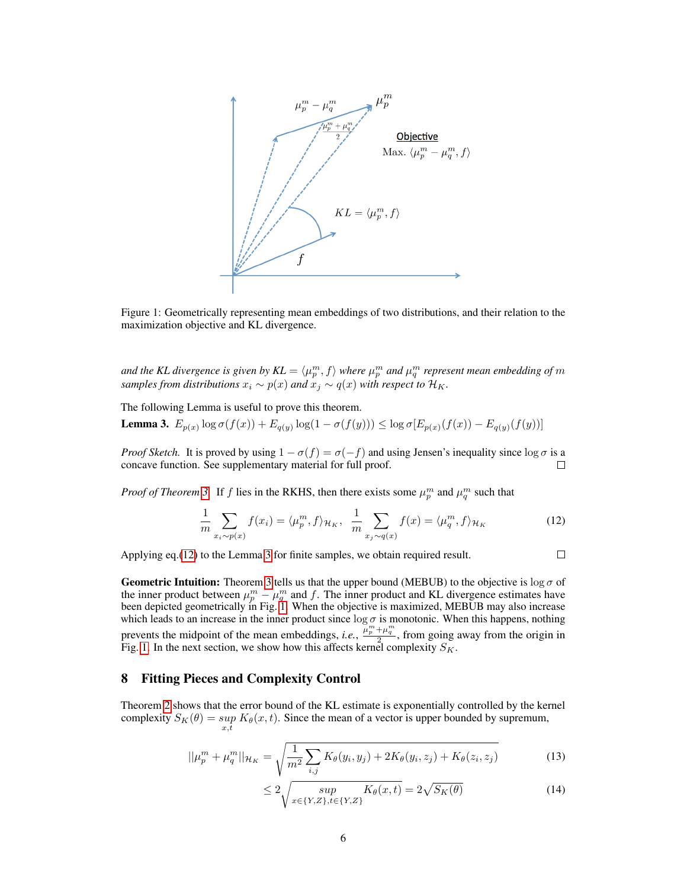

<span id="page-5-3"></span>Figure 1: Geometrically representing mean embeddings of two distributions, and their relation to the maximization objective and KL divergence.

and the KL divergence is given by  $KL = \langle \mu_p^m, f \rangle$  where  $\mu_p^m$  and  $\mu_q^m$  represent mean embedding of  $m$ *samples from distributions*  $x_i \sim p(x)$  *and*  $x_j \sim q(x)$  *with respect to*  $\mathcal{H}_K$ *.* 

The following Lemma is useful to prove this theorem.

<span id="page-5-2"></span>**Lemma 3.**  $E_{p(x)} \log \sigma(f(x)) + E_{q(y)} \log(1 - \sigma(f(y))) \leq \log \sigma[E_{p(x)}(f(x)) - E_{q(y)}(f(y))]$ 

*Proof Sketch.* It is proved by using  $1 - \sigma(f) = \sigma(-f)$  and using Jensen's inequality since  $\log \sigma$  is a concave function. See supplementary material for full proof. П

*Proof of Theorem [3.](#page-4-3)* If f lies in the RKHS, then there exists some  $\mu_p^m$  and  $\mu_q^m$  such that

$$
\frac{1}{m}\sum_{x_i \sim p(x)} f(x_i) = \langle \mu_p^m, f \rangle_{\mathcal{H}_K}, \quad \frac{1}{m}\sum_{x_j \sim q(x)} f(x) = \langle \mu_q^m, f \rangle_{\mathcal{H}_K}
$$
(12)

Applying eq.[\(12\)](#page-5-1) to the Lemma [3](#page-5-2) for finite samples, we obtain required result.

<span id="page-5-4"></span><span id="page-5-1"></span>
$$
\square^-
$$

**Geometric Intuition:** Theorem [3](#page-4-3) tells us that the upper bound (MEBUB) to the objective is  $\log \sigma$  of the inner product between  $\mu_p^m - \mu_q^m$  and f. The inner product and KL divergence estimates have been depicted geometrically in Fig. [1.](#page-5-3) When the objective is maximized, MEBUB may also increase which leads to an increase in the inner product since  $\log \sigma$  is monotonic. When this happens, nothing prevents the midpoint of the mean embeddings, *i.e.*,  $\frac{\mu_p^m + \mu_q^m}{2}$ , from going away from the origin in Fig. [1.](#page-5-3) In the next section, we show how this affects kernel complexity  $S_K$ .

# <span id="page-5-0"></span>8 Fitting Pieces and Complexity Control

Theorem [2](#page-4-1) shows that the error bound of the KL estimate is exponentially controlled by the kernel complexity  $S_K(\theta) = \sup K_{\theta}(x, t)$ . Since the mean of a vector is upper bounded by supremum,  $x,\tilde{t}$ 

$$
||\mu_p^m + \mu_q^m||_{\mathcal{H}_K} = \sqrt{\frac{1}{m^2} \sum_{i,j} K_\theta(y_i, y_j) + 2K_\theta(y_i, z_j) + K_\theta(z_i, z_j)}
$$
(13)

$$
\leq 2\sqrt{\sup_{x\in\{Y,Z\},t\in\{Y,Z\}} K_{\theta}(x,t)} = 2\sqrt{S_K(\theta)}\tag{14}
$$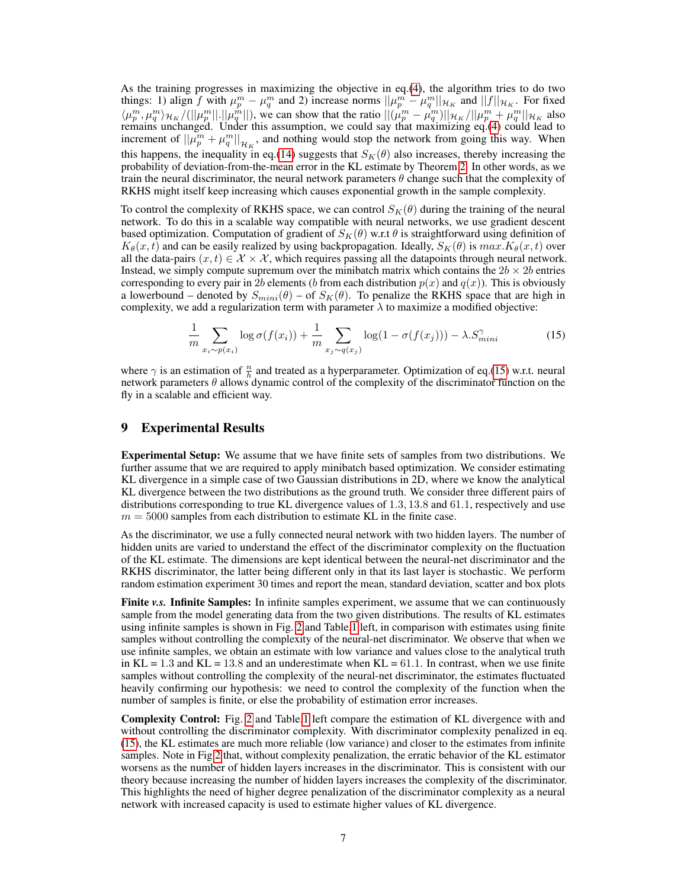As the training progresses in maximizing the objective in eq.[\(4\)](#page-2-1), the algorithm tries to do two things: 1) align f with  $\mu_p^m - \mu_q^m$  and 2) increase norms  $||\mu_p^m - \mu_q^m||_{\mathcal{H}_K}$  and  $||f||_{\mathcal{H}_K}$ . For fixed  $\langle \mu_p^m, \mu_q^m \rangle_{\mathcal{H}_K}/(||\mu_p^m||.||\mu_q^{\hat{m}}||)$ , we can show that the ratio  $||(\mu_p^m - \mu_q^m)||_{\mathcal{H}_K}/||\mu_p^m + \mu_q^m||_{\mathcal{H}_K}$  also remains unchanged. Under this assumption, we could say that maximizing eq.[\(4\)](#page-2-1) could lead to increment of  $||\mu_p^m + \mu_q^m||_{\mathcal{H}_K}$ , and nothing would stop the network from going this way. When this happens, the inequality in eq.[\(14\)](#page-5-4) suggests that  $S_K(\theta)$  also increases, thereby increasing the probability of deviation-from-the-mean error in the KL estimate by Theorem [2.](#page-4-1) In other words, as we train the neural discriminator, the neural network parameters  $\theta$  change such that the complexity of RKHS might itself keep increasing which causes exponential growth in the sample complexity.

To control the complexity of RKHS space, we can control  $S_K(\theta)$  during the training of the neural network. To do this in a scalable way compatible with neural networks, we use gradient descent based optimization. Computation of gradient of  $S_K(\theta)$  w.r.t  $\theta$  is straightforward using definition of  $K_{\theta}(x, t)$  and can be easily realized by using backpropagation. Ideally,  $S_K(\theta)$  is  $max.K_{\theta}(x, t)$  over all the data-pairs  $(x, t) \in \mathcal{X} \times \mathcal{X}$ , which requires passing all the datapoints through neural network. Instead, we simply compute supremum over the minibatch matrix which contains the  $2b \times 2b$  entries corresponding to every pair in 2b elements (b from each distribution  $p(x)$  and  $q(x)$ ). This is obviously a lowerbound – denoted by  $S_{min}(\theta)$  – of  $S_K(\theta)$ . To penalize the RKHS space that are high in complexity, we add a regularization term with parameter  $\lambda$  to maximize a modified objective:

<span id="page-6-0"></span>
$$
\frac{1}{m} \sum_{x_i \sim p(x_i)} \log \sigma(f(x_i)) + \frac{1}{m} \sum_{x_j \sim q(x_j)} \log(1 - \sigma(f(x_j))) - \lambda \cdot S_{mini}^{\gamma}
$$
\n(15)

where  $\gamma$  is an estimation of  $\frac{n}{h}$  and treated as a hyperparameter. Optimization of eq.[\(15\)](#page-6-0) w.r.t. neural network parameters  $\theta$  allows dynamic control of the complexity of the discriminator function on the fly in a scalable and efficient way.

#### 9 Experimental Results

Experimental Setup: We assume that we have finite sets of samples from two distributions. We further assume that we are required to apply minibatch based optimization. We consider estimating KL divergence in a simple case of two Gaussian distributions in 2D, where we know the analytical KL divergence between the two distributions as the ground truth. We consider three different pairs of distributions corresponding to true KL divergence values of 1.3, 13.8 and 61.1, respectively and use  $m = 5000$  samples from each distribution to estimate KL in the finite case.

As the discriminator, we use a fully connected neural network with two hidden layers. The number of hidden units are varied to understand the effect of the discriminator complexity on the fluctuation of the KL estimate. The dimensions are kept identical between the neural-net discriminator and the RKHS discriminator, the latter being different only in that its last layer is stochastic. We perform random estimation experiment 30 times and report the mean, standard deviation, scatter and box plots

**Finite** *v.s.* Infinite Samples: In infinite samples experiment, we assume that we can continuously sample from the model generating data from the two given distributions. The results of KL estimates using infinite samples is shown in Fig. [2](#page-7-0) and Table[.1](#page-8-0) left, in comparison with estimates using finite samples without controlling the complexity of the neural-net discriminator. We observe that when we use infinite samples, we obtain an estimate with low variance and values close to the analytical truth in KL = 1.3 and KL = 13.8 and an underestimate when KL =  $61.1$ . In contrast, when we use finite samples without controlling the complexity of the neural-net discriminator, the estimates fluctuated heavily confirming our hypothesis: we need to control the complexity of the function when the number of samples is finite, or else the probability of estimation error increases.

Complexity Control: Fig. [2](#page-7-0) and Table[.1](#page-8-0) left compare the estimation of KL divergence with and without controlling the discriminator complexity. With discriminator complexity penalized in eq. [\(15\)](#page-6-0), the KL estimates are much more reliable (low variance) and closer to the estimates from infinite samples. Note in Fig[.2](#page-7-0) that, without complexity penalization, the erratic behavior of the KL estimator worsens as the number of hidden layers increases in the discriminator. This is consistent with our theory because increasing the number of hidden layers increases the complexity of the discriminator. This highlights the need of higher degree penalization of the discriminator complexity as a neural network with increased capacity is used to estimate higher values of KL divergence.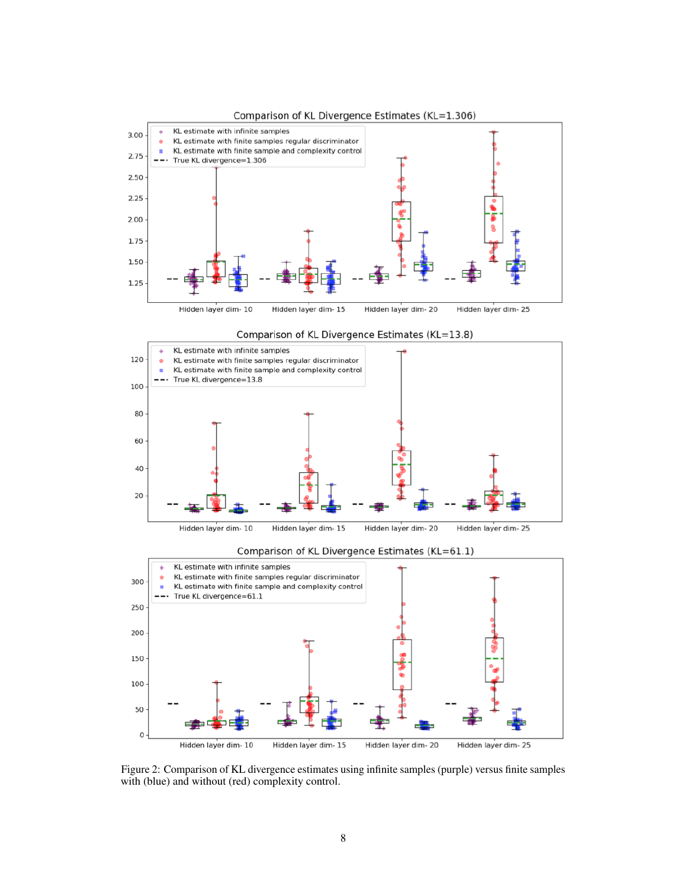







<span id="page-7-0"></span>Figure 2: Comparison of KL divergence estimates using infinite samples (purple) versus finite samples with (blue) and without (red) complexity control.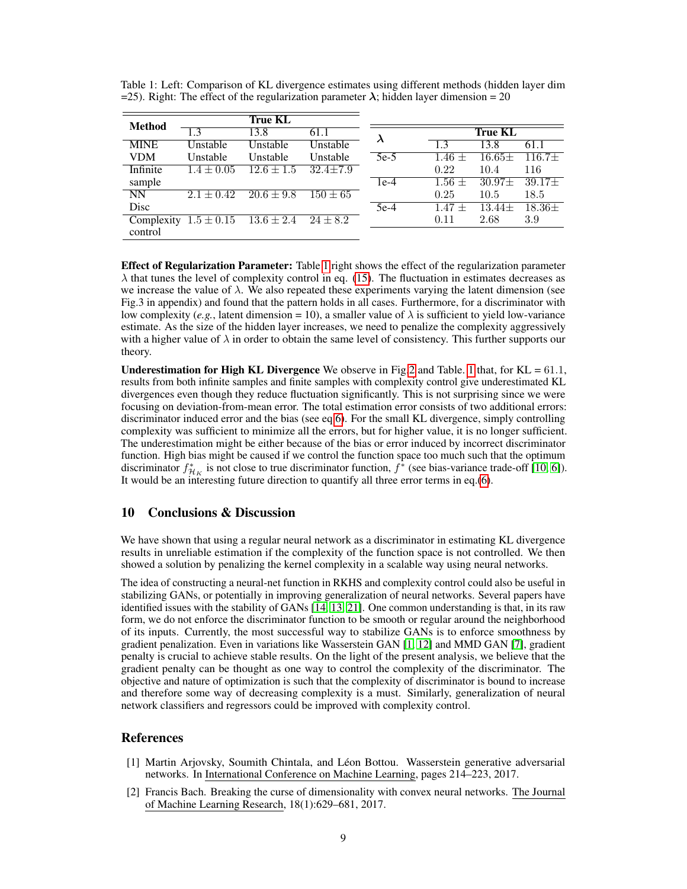| <b>Method</b> |                |                |              |           |            |                |          |
|---------------|----------------|----------------|--------------|-----------|------------|----------------|----------|
|               | 1.3            | 13.8           | 61.1         | $\lambda$ |            | <b>True KL</b> |          |
| <b>MINE</b>   | Unstable       | Unstable       | Unstable     |           | -1.3       | 13.8           | 61.1     |
| <b>VDM</b>    | Unstable       | Unstable       | Unstable     | $5e-5$    | $1.46 +$   | $16.65\pm$     | $116.7+$ |
| Infinite      | $1.4 \pm 0.05$ | $12.6 \pm 1.5$ | $32.4 + 7.9$ |           | 0.22       | 10.4           | 116      |
| sample        |                |                |              | $1e-4$    | $1.56 \pm$ | $30.97\pm$     | $39.17+$ |
| <b>NN</b>     | $2.1 + 0.42$   | $20.6 \pm 9.8$ | $150 \pm 65$ |           | 0.25       | 10.5           | 18.5     |
| Disc          |                |                |              | $5e-4$    | $1.47 +$   | $13.44\pm$     | $18.36+$ |
| Complexity    | $1.5 \pm 0.15$ | $13.6 \pm 2.4$ | $24 \pm 8.2$ |           | 0.11       | 2.68           | 3.9      |
| control       |                |                |              |           |            |                |          |

<span id="page-8-0"></span>Table 1: Left: Comparison of KL divergence estimates using different methods (hidden layer dim =25). Right: The effect of the regularization parameter  $\lambda$ ; hidden layer dimension = 20

**Effect of Regularization Parameter:** Table [1](#page-8-0) right shows the effect of the regularization parameter  $\lambda$  that tunes the level of complexity control in eq. [\(15\)](#page-6-0). The fluctuation in estimates decreases as we increase the value of  $\lambda$ . We also repeated these experiments varying the latent dimension (see Fig.3 in appendix) and found that the pattern holds in all cases. Furthermore, for a discriminator with low complexity (*e.g.*, latent dimension = 10), a smaller value of  $\lambda$  is sufficient to yield low-variance estimate. As the size of the hidden layer increases, we need to penalize the complexity aggressively with a higher value of  $\lambda$  in order to obtain the same level of consistency. This further supports our theory.

**Underestimation for High KL Divergence** We observe in Fig[.2](#page-7-0) and Table. [1](#page-8-0) that, for  $KL = 61.1$ , results from both infinite samples and finite samples with complexity control give underestimated KL divergences even though they reduce fluctuation significantly. This is not surprising since we were focusing on deviation-from-mean error. The total estimation error consists of two additional errors: discriminator induced error and the bias (see eq[.6\)](#page-2-2). For the small KL divergence, simply controlling complexity was sufficient to minimize all the errors, but for higher value, it is no longer sufficient. The underestimation might be either because of the bias or error induced by incorrect discriminator function. High bias might be caused if we control the function space too much such that the optimum discriminator  $f^*_{\mathcal{H}_K}$  is not close to true discriminator function,  $f^*$  (see bias-variance trade-off [\[10,](#page-9-11) [6\]](#page-9-14)). It would be an interesting future direction to quantify all three error terms in eq.[\(6\)](#page-2-2).

## 10 Conclusions & Discussion

We have shown that using a regular neural network as a discriminator in estimating KL divergence results in unreliable estimation if the complexity of the function space is not controlled. We then showed a solution by penalizing the kernel complexity in a scalable way using neural networks.

The idea of constructing a neural-net function in RKHS and complexity control could also be useful in stabilizing GANs, or potentially in improving generalization of neural networks. Several papers have identified issues with the stability of GANs [\[14,](#page-9-2) [13,](#page-9-15) [21\]](#page-9-16). One common understanding is that, in its raw form, we do not enforce the discriminator function to be smooth or regular around the neighborhood of its inputs. Currently, the most successful way to stabilize GANs is to enforce smoothness by gradient penalization. Even in variations like Wasserstein GAN [\[1,](#page-8-2) [12\]](#page-9-17) and MMD GAN [\[7\]](#page-9-18), gradient penalty is crucial to achieve stable results. On the light of the present analysis, we believe that the gradient penalty can be thought as one way to control the complexity of the discriminator. The objective and nature of optimization is such that the complexity of discriminator is bound to increase and therefore some way of decreasing complexity is a must. Similarly, generalization of neural network classifiers and regressors could be improved with complexity control.

#### References

- <span id="page-8-2"></span>[1] Martin Arjovsky, Soumith Chintala, and Léon Bottou. Wasserstein generative adversarial networks. In International Conference on Machine Learning, pages 214–223, 2017.
- <span id="page-8-1"></span>[2] Francis Bach. Breaking the curse of dimensionality with convex neural networks. The Journal of Machine Learning Research, 18(1):629–681, 2017.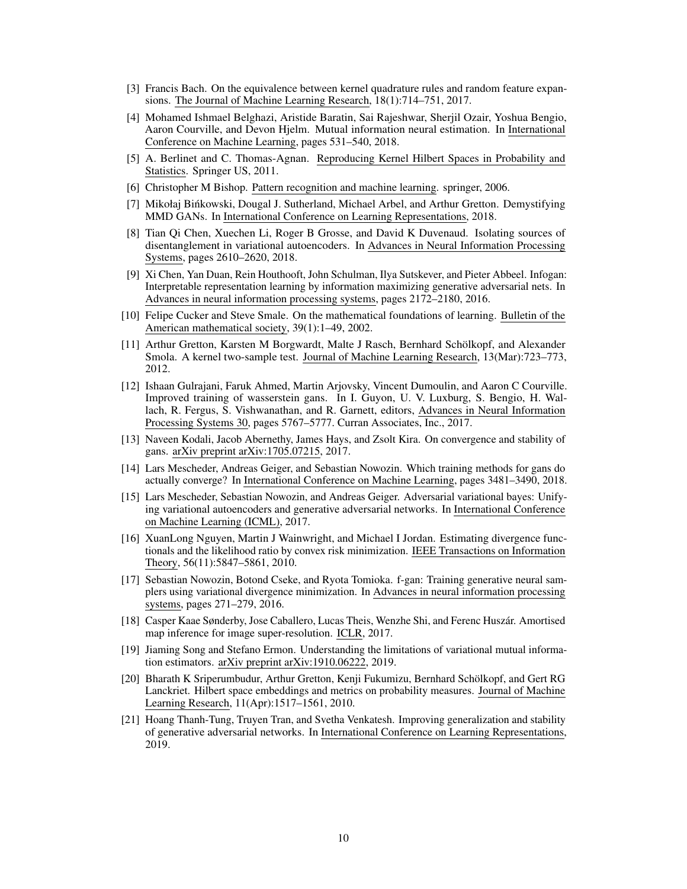- <span id="page-9-10"></span>[3] Francis Bach. On the equivalence between kernel quadrature rules and random feature expansions. The Journal of Machine Learning Research, 18(1):714–751, 2017.
- <span id="page-9-6"></span>[4] Mohamed Ishmael Belghazi, Aristide Baratin, Sai Rajeshwar, Sherjil Ozair, Yoshua Bengio, Aaron Courville, and Devon Hjelm. Mutual information neural estimation. In International Conference on Machine Learning, pages 531–540, 2018.
- <span id="page-9-9"></span>[5] A. Berlinet and C. Thomas-Agnan. Reproducing Kernel Hilbert Spaces in Probability and Statistics. Springer US, 2011.
- <span id="page-9-14"></span>[6] Christopher M Bishop. Pattern recognition and machine learning. springer, 2006.
- <span id="page-9-18"></span>[7] Mikołaj Bińkowski, Dougal J. Sutherland, Michael Arbel, and Arthur Gretton. Demystifying MMD GANs. In International Conference on Learning Representations, 2018.
- <span id="page-9-1"></span>[8] Tian Qi Chen, Xuechen Li, Roger B Grosse, and David K Duvenaud. Isolating sources of disentanglement in variational autoencoders. In Advances in Neural Information Processing Systems, pages 2610–2620, 2018.
- <span id="page-9-3"></span>[9] Xi Chen, Yan Duan, Rein Houthooft, John Schulman, Ilya Sutskever, and Pieter Abbeel. Infogan: Interpretable representation learning by information maximizing generative adversarial nets. In Advances in neural information processing systems, pages 2172–2180, 2016.
- <span id="page-9-11"></span>[10] Felipe Cucker and Steve Smale. On the mathematical foundations of learning. Bulletin of the American mathematical society, 39(1):1–49, 2002.
- <span id="page-9-13"></span>[11] Arthur Gretton, Karsten M Borgwardt, Malte J Rasch, Bernhard Schölkopf, and Alexander Smola. A kernel two-sample test. Journal of Machine Learning Research, 13(Mar):723–773, 2012.
- <span id="page-9-17"></span>[12] Ishaan Gulrajani, Faruk Ahmed, Martin Arjovsky, Vincent Dumoulin, and Aaron C Courville. Improved training of wasserstein gans. In I. Guyon, U. V. Luxburg, S. Bengio, H. Wallach, R. Fergus, S. Vishwanathan, and R. Garnett, editors, Advances in Neural Information Processing Systems 30, pages 5767–5777. Curran Associates, Inc., 2017.
- <span id="page-9-15"></span>[13] Naveen Kodali, Jacob Abernethy, James Hays, and Zsolt Kira. On convergence and stability of gans. arXiv preprint arXiv:1705.07215, 2017.
- <span id="page-9-2"></span>[14] Lars Mescheder, Andreas Geiger, and Sebastian Nowozin. Which training methods for gans do actually converge? In International Conference on Machine Learning, pages 3481–3490, 2018.
- <span id="page-9-7"></span>[15] Lars Mescheder, Sebastian Nowozin, and Andreas Geiger. Adversarial variational bayes: Unifying variational autoencoders and generative adversarial networks. In International Conference on Machine Learning (ICML), 2017.
- <span id="page-9-0"></span>[16] XuanLong Nguyen, Martin J Wainwright, and Michael I Jordan. Estimating divergence functionals and the likelihood ratio by convex risk minimization. IEEE Transactions on Information Theory, 56(11):5847–5861, 2010.
- <span id="page-9-5"></span>[17] Sebastian Nowozin, Botond Cseke, and Ryota Tomioka. f-gan: Training generative neural samplers using variational divergence minimization. In Advances in neural information processing systems, pages 271–279, 2016.
- <span id="page-9-4"></span>[18] Casper Kaae Sønderby, Jose Caballero, Lucas Theis, Wenzhe Shi, and Ferenc Huszár. Amortised map inference for image super-resolution. ICLR, 2017.
- <span id="page-9-8"></span>[19] Jiaming Song and Stefano Ermon. Understanding the limitations of variational mutual information estimators. arXiv preprint arXiv:1910.06222, 2019.
- <span id="page-9-12"></span>[20] Bharath K Sriperumbudur, Arthur Gretton, Kenji Fukumizu, Bernhard Schölkopf, and Gert RG Lanckriet. Hilbert space embeddings and metrics on probability measures. Journal of Machine Learning Research, 11(Apr):1517–1561, 2010.
- <span id="page-9-16"></span>[21] Hoang Thanh-Tung, Truyen Tran, and Svetha Venkatesh. Improving generalization and stability of generative adversarial networks. In International Conference on Learning Representations, 2019.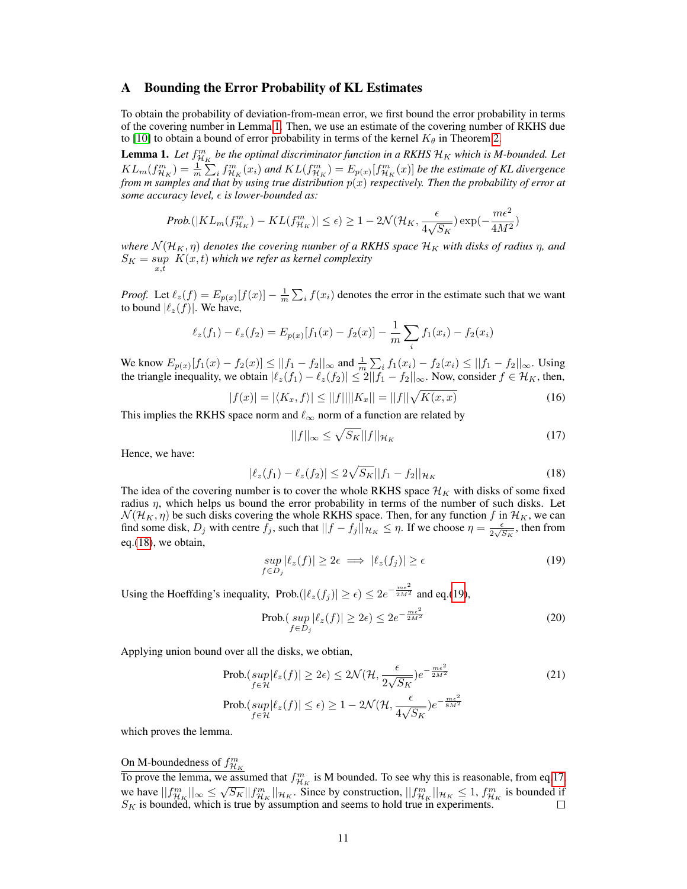#### A Bounding the Error Probability of KL Estimates

To obtain the probability of deviation-from-mean error, we first bound the error probability in terms of the covering number in Lemma [1.](#page-3-4) Then, we use an estimate of the covering number of RKHS due to [\[10\]](#page-9-11) to obtain a bound of error probability in terms of the kernel  $K_{\theta}$  in Theorem [2.](#page-4-1)

**Lemma 1.** Let  $f_{\mathcal{H}_K}^m$  be the optimal discriminator function in a RKHS  $\mathcal{H}_K$  which is M-bounded. Let  $KL_m(f_{\mathcal{H}_K}^m) = \frac{1}{m} \sum_i f_{\mathcal{H}_K}^m(x_i)$  and  $KL(f_{\mathcal{H}_K}^m) = E_{p(x)}[f_{\mathcal{H}_K}^m(x)]$  be the estimate of KL divergence *from m samples and that by using true distribution* p(x) *respectively. Then the probability of error at some accuracy level, is lower-bounded as:*

$$
Prob.(|KL_m(f_{\mathcal{H}_K}^m) - KL(f_{\mathcal{H}_K}^m)| \le \epsilon) \ge 1 - 2\mathcal{N}(\mathcal{H}_K, \frac{\epsilon}{4\sqrt{S_K}}) \exp(-\frac{m\epsilon^2}{4M^2})
$$

*where*  $\mathcal{N}(\mathcal{H}_K, \eta)$  *denotes the covering number of a RKHS space*  $\mathcal{H}_K$  *with disks of radius*  $\eta$ *, and*  $S_K = \sup_{x,t} \ K(x,t)$  which we refer as kernel complexity

*Proof.* Let  $\ell_z(f) = E_{p(x)}[f(x)] - \frac{1}{m} \sum_i f(x_i)$  denotes the error in the estimate such that we want to bound  $|\ell_z(f)|$ . We have,

$$
\ell_z(f_1) - \ell_z(f_2) = E_{p(x)}[f_1(x) - f_2(x)] - \frac{1}{m} \sum_i f_1(x_i) - f_2(x_i)
$$

We know  $E_{p(x)}[f_1(x) - f_2(x)] \le ||f_1 - f_2||_{\infty}$  and  $\frac{1}{m} \sum_i f_1(x_i) - f_2(x_i) \le ||f_1 - f_2||_{\infty}$ . Using the triangle inequality, we obtain  $|\ell_z(f_1) - \ell_z(f_2)| \leq 2||f_1 - f_2||_{\infty}$ . Now, consider  $f \in \mathcal{H}_K$ , then,

$$
|f(x)| = |\langle K_x, f \rangle| \le ||f|| ||K_x|| = ||f|| \sqrt{K(x, x)}
$$
\n(16)

This implies the RKHS space norm and  $\ell_{\infty}$  norm of a function are related by

<span id="page-10-2"></span><span id="page-10-1"></span><span id="page-10-0"></span>
$$
||f||_{\infty} \le \sqrt{S_K} ||f||_{\mathcal{H}_K} \tag{17}
$$

Hence, we have:

$$
|\ell_z(f_1) - \ell_z(f_2)| \le 2\sqrt{S_K} ||f_1 - f_2||_{\mathcal{H}_K}
$$
\n(18)

The idea of the covering number is to cover the whole RKHS space  $\mathcal{H}_K$  with disks of some fixed radius  $\eta$ , which helps us bound the error probability in terms of the number of such disks. Let  $\mathcal{N}(\mathcal{H}_K, \eta)$  be such disks covering the whole RKHS space. Then, for any function  $f$  in  $\mathcal{H}_K$ , we can find some disk,  $D_j$  with centre  $f_j$ , such that  $||f - f_j||_{\mathcal{H}_K} \leq \eta$ . If we choose  $\eta = \frac{\epsilon}{2\sqrt{N}}$  $\frac{\epsilon}{2\sqrt{S_K}}$ , then from eq.[\(18\)](#page-10-0), we obtain,

$$
\sup_{f \in D_j} |\ell_z(f)| \ge 2\epsilon \implies |\ell_z(f_j)| \ge \epsilon \tag{19}
$$

Using the Hoeffding's inequality,  $\text{Prob.}(|\ell_z(f_j)| \ge \epsilon) \le 2e^{-\frac{m\epsilon^2}{2M^2}}$  and eq.[\(19\)](#page-10-1),

$$
\text{Prob.}(\sup_{f \in D_j} |\ell_z(f)| \ge 2\epsilon) \le 2e^{-\frac{m\epsilon^2}{2M^2}} \tag{20}
$$

Applying union bound over all the disks, we obtian,

$$
\text{Prob.}(sup_{f \in \mathcal{H}} |\ell_z(f)| \ge 2\epsilon) \le 2\mathcal{N}(\mathcal{H}, \frac{\epsilon}{2\sqrt{S_K}})e^{-\frac{m\epsilon^2}{2M^2}} \tag{21}
$$
\n
$$
\text{Prob.}(sup_{f \in \mathcal{H}} |\ell_z(f)| \le \epsilon) \ge 1 - 2\mathcal{N}(\mathcal{H}, \frac{\epsilon}{4\sqrt{S_K}})e^{-\frac{m\epsilon^2}{8M^2}}
$$

which proves the lemma.

# On M-boundedness of  $f^m_{\mathcal{H}_K}$

To prove the lemma, we assumed that  $f_{\mathcal{H}_K}^m$  is M bounded. To see why this is reasonable, from eq[.17,](#page-10-2) we have  $||f_{\mathcal{H}_K}^m||_{\infty} \leq \sqrt{S_K}||f_{\mathcal{H}_K}^m||_{\mathcal{H}_K}$ . Since by construction,  $||f_{\mathcal{H}_K}^m||_{\mathcal{H}_K} \leq 1$ ,  $f_{\mathcal{H}_K}^m$  is bounded if  $S_K$  is bounded, which is true by assumption and seems to hold true in experiments.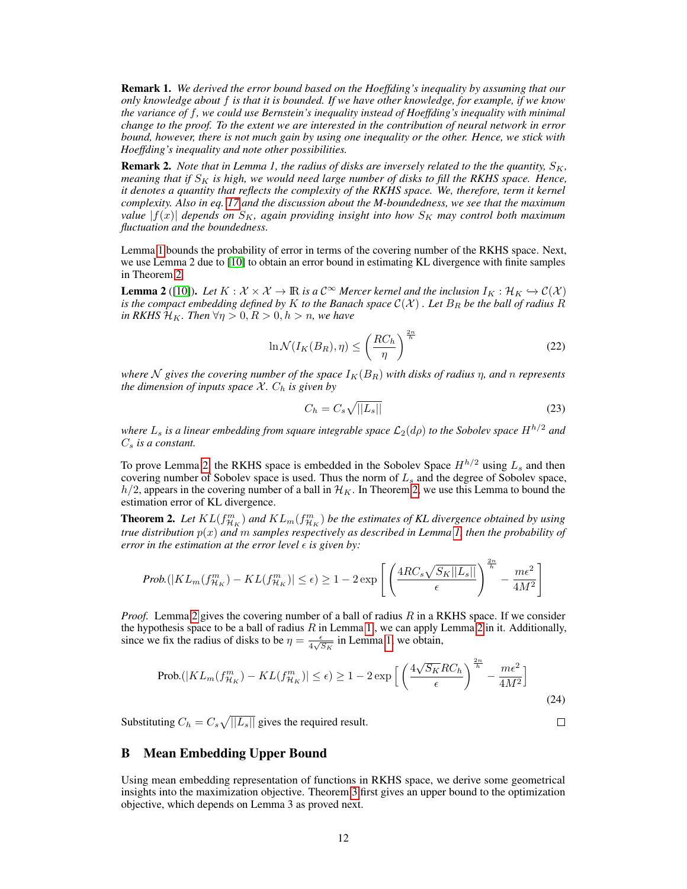Remark 1. *We derived the error bound based on the Hoeffding's inequality by assuming that our only knowledge about* f *is that it is bounded. If we have other knowledge, for example, if we know the variance of* f*, we could use Bernstein's inequality instead of Hoeffding's inequality with minimal change to the proof. To the extent we are interested in the contribution of neural network in error bound, however, there is not much gain by using one inequality or the other. Hence, we stick with Hoeffding's inequality and note other possibilities.*

**Remark 2.** *Note that in Lemma 1, the radius of disks are inversely related to the the quantity,*  $S_K$ , *meaning that if*  $S_K$  *is high, we would need large number of disks to fill the RKHS space. Hence, it denotes a quantity that reflects the complexity of the RKHS space. We, therefore, term it kernel complexity. Also in eq. [17](#page-10-2) and the discussion about the M-boundedness, we see that the maximum value*  $|f(x)|$  *depends on*  $S_K$ , again providing insight into how  $S_K$  may control both maximum *fluctuation and the boundedness.*

Lemma [1](#page-3-4) bounds the probability of error in terms of the covering number of the RKHS space. Next, we use Lemma 2 due to [\[10\]](#page-9-11) to obtain an error bound in estimating KL divergence with finite samples in Theorem [2.](#page-4-1)

**Lemma 2** ([\[10\]](#page-9-11)). *Let*  $K : \mathcal{X} \times \mathcal{X} \to \mathbb{R}$  *is a*  $C^{\infty}$  *Mercer kernel and the inclusion*  $I_K : \mathcal{H}_K \hookrightarrow \mathcal{C}(\mathcal{X})$ *is the compact embedding defined by* K *to the Banach space*  $\mathcal{C}(\mathcal{X})$ . Let  $B_R$  *be the ball of radius* R *in RKHS*  $\mathcal{H}_K$ *. Then*  $\forall \eta > 0, R > 0, h > n$ *, we have* 

$$
\ln \mathcal{N}(I_K(B_R), \eta) \le \left(\frac{RC_h}{\eta}\right)^{\frac{2n}{h}}
$$
\n(22)

*where* N gives the covering number of the space  $I_K(B_R)$  with disks of radius  $\eta$ , and  $n$  represents *the dimension of inputs space*  $X$ *.*  $C_h$  *is given by* 

$$
C_h = C_s \sqrt{||L_s||} \tag{23}
$$

*where*  $L_s$  *is a linear embedding from square integrable space*  $\mathcal{L}_2(d\rho)$  *to the Sobolev space*  $H^{h/2}$  *and*  $C_s$  *is a constant.* 

To prove Lemma [2,](#page-4-2) the RKHS space is embedded in the Sobolev Space  $H^{h/2}$  using  $L_s$  and then covering number of Sobolev space is used. Thus the norm of  $L_s$  and the degree of Sobolev space,  $h/2$ , appears in the covering number of a ball in  $\mathcal{H}_K$ . In Theorem [2,](#page-4-1) we use this Lemma to bound the estimation error of KL divergence.

**Theorem 2.** Let  $KL(f^m_{\mathcal{H}_K})$  and  $KL_m(f^m_{\mathcal{H}_K})$  be the estimates of KL divergence obtained by using *true distribution*  $p(x)$  *and* m *samples respectively as described in Lemma [1,](#page-3-4) then the probability of error in the estimation at the error level*  $\epsilon$  *is given by:* 

$$
Prob(|KL_m(f_{\mathcal{H}_K}^m) - KL(f_{\mathcal{H}_K}^m)| \le \epsilon) \ge 1 - 2\exp\left[\left(\frac{4RC_s\sqrt{S_K||L_s||}}{\epsilon}\right)^{\frac{2n}{h}} - \frac{m\epsilon^2}{4M^2}\right]
$$

*Proof.* Lemma [2](#page-4-2) gives the covering number of a ball of radius R in a RKHS space. If we consider the hypothesis space to be a ball of radius  $R$  in Lemma [1](#page-3-4), we can apply Lemma [2](#page-4-2) in it. Additionally, since we fix the radius of disks to be  $\eta = \frac{\epsilon}{4\sqrt{3}}$  $rac{\epsilon}{4\sqrt{S_K}}$  in Lemma [1,](#page-3-4) we obtain,

$$
\text{Prob.}(|KL_m(f_{\mathcal{H}_K}^m) - KL(f_{\mathcal{H}_K}^m)| \le \epsilon) \ge 1 - 2 \exp\left[\left(\frac{4\sqrt{S_K}RC_h}{\epsilon}\right)^{\frac{2n}{h}} - \frac{m\epsilon^2}{4M^2}\right]
$$
(24)

Substituting  $C_h = C_s \sqrt{||L_s||}$  gives the required result.

# $\Box$

## B Mean Embedding Upper Bound

Using mean embedding representation of functions in RKHS space, we derive some geometrical insights into the maximization objective. Theorem [3](#page-4-3) first gives an upper bound to the optimization objective, which depends on Lemma 3 as proved next.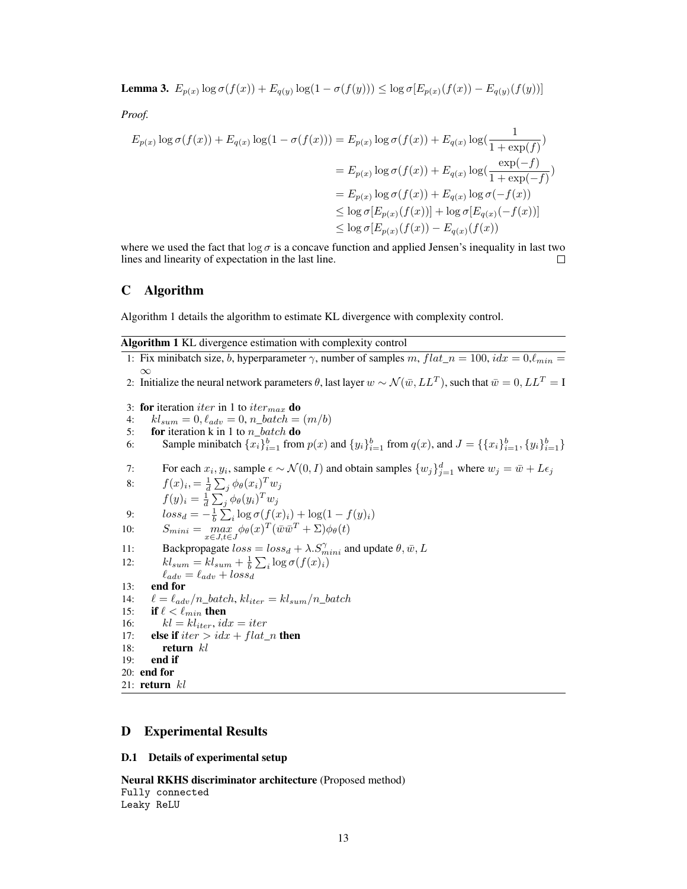**Lemma 3.**  $E_{p(x)} \log \sigma(f(x)) + E_{q(y)} \log(1 - \sigma(f(y))) \leq \log \sigma[E_{p(x)}(f(x)) - E_{q(y)}(f(y))]$ 

*Proof.*

$$
E_{p(x)} \log \sigma(f(x)) + E_{q(x)} \log(1 - \sigma(f(x))) = E_{p(x)} \log \sigma(f(x)) + E_{q(x)} \log(\frac{1}{1 + \exp(f)})
$$
  
\n
$$
= E_{p(x)} \log \sigma(f(x)) + E_{q(x)} \log(\frac{\exp(-f)}{1 + \exp(-f)})
$$
  
\n
$$
= E_{p(x)} \log \sigma(f(x)) + E_{q(x)} \log(\sigma(-f(x)))
$$
  
\n
$$
\leq \log \sigma[E_{p(x)}(f(x))] + \log \sigma[E_{q(x)}(-f(x))]
$$
  
\n
$$
\leq \log \sigma[E_{p(x)}(f(x)) - E_{q(x)}(f(x))
$$

where we used the fact that  $\log \sigma$  is a concave function and applied Jensen's inequality in last two lines and linearity of expectation in the last line.  $\Box$ 

#### C Algorithm

Algorithm 1 details the algorithm to estimate KL divergence with complexity control.

| Algorithm 1 KL divergence estimation with complexity control |  |  |  |
|--------------------------------------------------------------|--|--|--|
|                                                              |  |  |  |

- 1: Fix minibatch size, b, hyperparameter  $\gamma$ , number of samples m,  $flat_n = 100$ ,  $idx = 0$ ,  $\ell_{min} =$  $\infty$ 2: Initialize the neural network parameters  $\theta$ , last layer  $w \sim \mathcal{N}(\bar{w}, LL^T),$  such that  $\bar{w}=0, LL^T=I$
- 
- 3: for iteration *iter* in 1 to *iter<sub>max</sub>* do
- 4:  $kl_{sum} = 0, l_{adv} = 0, n\_batch = (m/b)$
- 5: **for** iteration k in 1 to  $n\_batch$  do
- 6: Sample minibatch  $\{x_i\}_{i=1}^b$  from  $p(x)$  and  $\{y_i\}_{i=1}^b$  from  $q(x)$ , and  $J = \{\{x_i\}_{i=1}^b, \{y_i\}_{i=1}^b\}$
- 7: For each  $x_i, y_i$ , sample  $\epsilon \sim \mathcal{N}(0, I)$  and obtain samples  $\{w_j\}_{j=1}^d$  where  $w_j = \bar{w} + L\epsilon_j$

8: 
$$
f(x)_i = \frac{1}{d} \sum_j \phi_\theta(x_i)^T w_j
$$

$$
f(y)_i = \frac{1}{d} \sum_j \phi_\theta(y_i)^T w_j
$$

9: 
$$
loss_d = -\frac{1}{b} \sum_i \log \sigma(f(x_i)) + \log(1 - f(y_i))
$$

- 10:  $S_{mini} = \max_{x \in J, t \in J} \phi_{\theta}(x)^{T} (\bar{w}\bar{w}^{T} + \Sigma) \phi_{\theta}(t)$
- 11: Backpropagate  $loss = loss_d + \lambda \cdot S_{mini}^{\gamma}$  and update  $\theta, \bar{w}, L$

12: 
$$
kl_{sum} = kl_{sum} + \frac{1}{b} \sum_{i} \log \sigma(f(x_i))
$$

$$
\ell_{adv} = \ell_{adv} + loss_d
$$

- 13: end for
- 14:  $\ell = \ell_{adv}/n\_batch, kl_{iter} = kl_{sum}/n\_batch$ <br>15: **if**  $\ell < \ell_{min}$  **then**
- 
- 15: **if**  $\ell < \ell_{min}$  then<br>16:  $kl = kl_{iter}$ , *id*  $kl = kl_{iter}, idx = iter$
- 17: **else if**  $iter > idx + flat_n$  then
- 18: **return**  $kl$
- 19: end if
- 20: end for
- 21:  $return$  $kl$

# D Experimental Results

#### D.1 Details of experimental setup

Neural RKHS discriminator architecture (Proposed method) Fully connected Leaky ReLU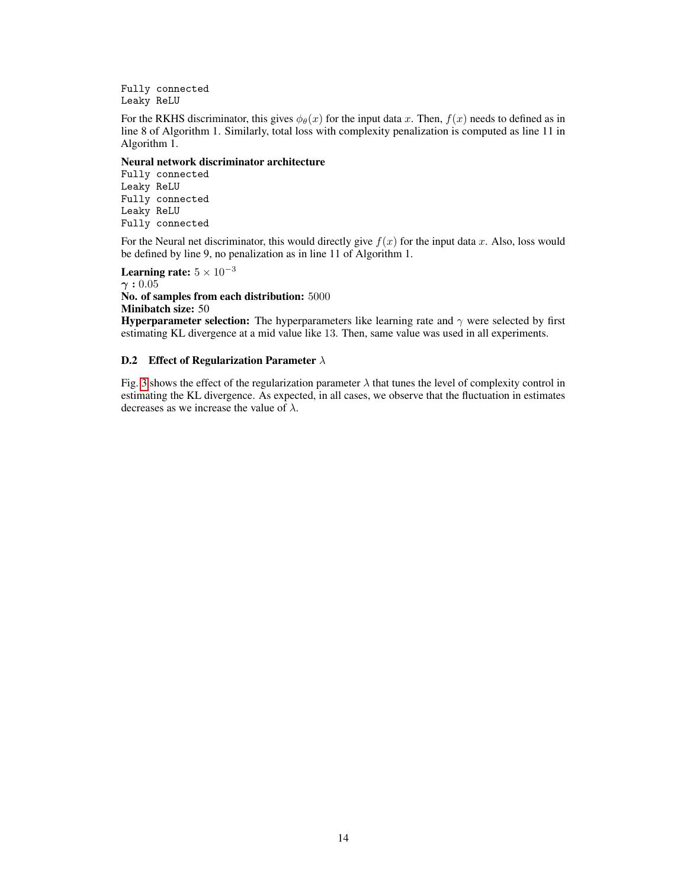Fully connected Leaky ReLU

For the RKHS discriminator, this gives  $\phi_{\theta}(x)$  for the input data x. Then,  $f(x)$  needs to defined as in line 8 of Algorithm 1. Similarly, total loss with complexity penalization is computed as line 11 in Algorithm 1.

#### Neural network discriminator architecture

Fully connected Leaky ReLU Fully connected Leaky ReLU Fully connected

For the Neural net discriminator, this would directly give  $f(x)$  for the input data x. Also, loss would be defined by line 9, no penalization as in line 11 of Algorithm 1.

Learning rate:  $5 \times 10^{-3}$  $\gamma: 0.05$ No. of samples from each distribution: 5000 Minibatch size: 50

**Hyperparameter selection:** The hyperparameters like learning rate and  $\gamma$  were selected by first estimating KL divergence at a mid value like 13. Then, same value was used in all experiments.

#### D.2 Effect of Regularization Parameter  $\lambda$

Fig. [3](#page-14-0) shows the effect of the regularization parameter  $\lambda$  that tunes the level of complexity control in estimating the KL divergence. As expected, in all cases, we observe that the fluctuation in estimates decreases as we increase the value of  $\lambda$ .